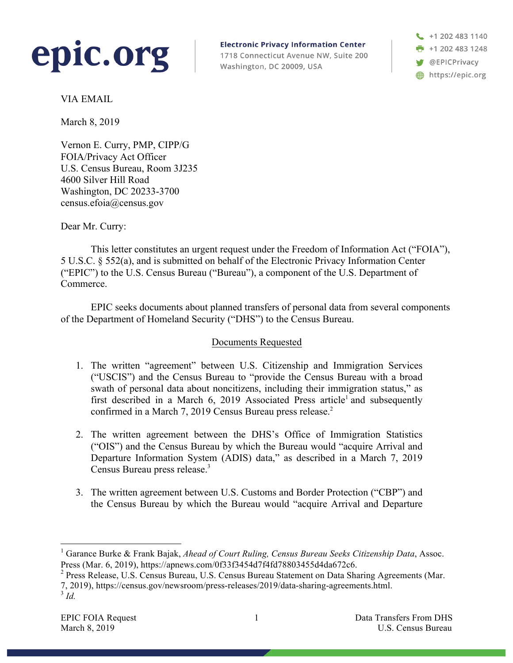

**Electronic Privacy Information Center** 

1718 Connecticut Avenue NW, Suite 200 Washington, DC 20009, USA

+1 202 483 1140  $\frac{1}{2}$  +1 202 483 1248 **W** @EPICPrivacy https://epic.org

VIA EMAIL

March 8, 2019

Vernon E. Curry, PMP, CIPP/G FOIA/Privacy Act Officer U.S. Census Bureau, Room 3J235 4600 Silver Hill Road Washington, DC 20233-3700 census.efoia@census.gov

Dear Mr. Curry:

This letter constitutes an urgent request under the Freedom of Information Act ("FOIA"), 5 U.S.C. § 552(a), and is submitted on behalf of the Electronic Privacy Information Center ("EPIC") to the U.S. Census Bureau ("Bureau"), a component of the U.S. Department of Commerce.

EPIC seeks documents about planned transfers of personal data from several components of the Department of Homeland Security ("DHS") to the Census Bureau.

## Documents Requested

- 1. The written "agreement" between U.S. Citizenship and Immigration Services ("USCIS") and the Census Bureau to "provide the Census Bureau with a broad swath of personal data about noncitizens, including their immigration status," as first described in a March 6, 2019 Associated Press article<sup>1</sup> and subsequently confirmed in a March 7, 2019 Census Bureau press release.<sup>2</sup>
- 2. The written agreement between the DHS's Office of Immigration Statistics ("OIS") and the Census Bureau by which the Bureau would "acquire Arrival and Departure Information System (ADIS) data," as described in a March 7, 2019 Census Bureau press release.<sup>3</sup>
- 3. The written agreement between U.S. Customs and Border Protection ("CBP") and the Census Bureau by which the Bureau would "acquire Arrival and Departure

 <sup>1</sup> Garance Burke & Frank Bajak, *Ahead of Court Ruling, Census Bureau Seeks Citizenship Data*, Assoc. Press (Mar. 6, 2019), https://apnews.com/0f33f3454d7f4fd78803455d4da672c6.<br><sup>2</sup> Press Release, U.S. Census Bureau, U.S. Census Bureau Statement on Data Sharing Agreements (Mar.

<sup>7, 2019),</sup> https://census.gov/newsroom/press-releases/2019/data-sharing-agreements.html. <sup>3</sup> *Id.*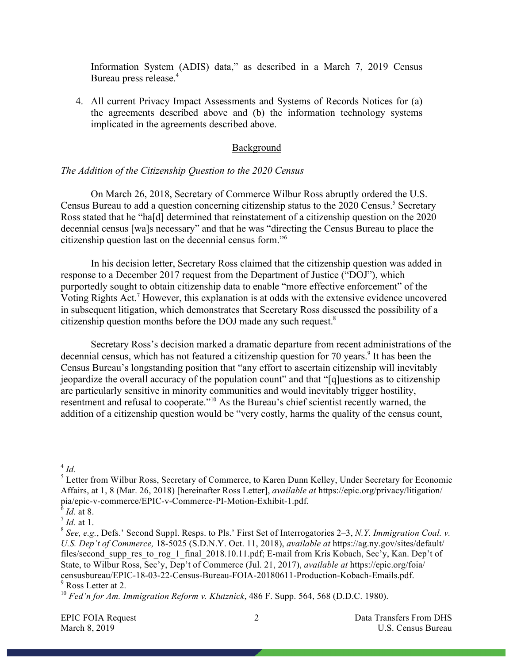Information System (ADIS) data," as described in a March 7, 2019 Census Bureau press release.<sup>4</sup>

4. All current Privacy Impact Assessments and Systems of Records Notices for (a) the agreements described above and (b) the information technology systems implicated in the agreements described above.

### Background

## *The Addition of the Citizenship Question to the 2020 Census*

On March 26, 2018, Secretary of Commerce Wilbur Ross abruptly ordered the U.S. Census Bureau to add a question concerning citizenship status to the 2020 Census.<sup>5</sup> Secretary Ross stated that he "ha[d] determined that reinstatement of a citizenship question on the 2020 decennial census [wa]s necessary" and that he was "directing the Census Bureau to place the citizenship question last on the decennial census form."6

In his decision letter, Secretary Ross claimed that the citizenship question was added in response to a December 2017 request from the Department of Justice ("DOJ"), which purportedly sought to obtain citizenship data to enable "more effective enforcement" of the Voting Rights Act.<sup>7</sup> However, this explanation is at odds with the extensive evidence uncovered in subsequent litigation, which demonstrates that Secretary Ross discussed the possibility of a citizenship question months before the DOJ made any such request.8

Secretary Ross's decision marked a dramatic departure from recent administrations of the decennial census, which has not featured a citizenship question for 70 years.<sup>9</sup> It has been the Census Bureau's longstanding position that "any effort to ascertain citizenship will inevitably jeopardize the overall accuracy of the population count" and that "[q]uestions as to citizenship are particularly sensitive in minority communities and would inevitably trigger hostility, resentment and refusal to cooperate."10 As the Bureau's chief scientist recently warned, the addition of a citizenship question would be "very costly, harms the quality of the census count,

 $^{4}$  *Id.* 

<sup>&</sup>lt;sup>5</sup> Letter from Wilbur Ross, Secretary of Commerce, to Karen Dunn Kelley, Under Secretary for Economic Affairs, at 1, 8 (Mar. 26, 2018) [hereinafter Ross Letter], *available at* https://epic.org/privacy/litigation/ pia/epic-v-commerce/EPIC-v-Commerce-PI-Motion-Exhibit-1.pdf.

<sup>6</sup> *Id.* at 8.

 $^7$  *Id.* at 1.

<sup>8</sup> *See, e.g.*, Defs.' Second Suppl. Resps. to Pls.' First Set of Interrogatories 2–3, *N.Y. Immigration Coal. v. U.S. Dep't of Commerce,* 18-5025 (S.D.N.Y. Oct. 11, 2018), *available at* https://ag.ny.gov/sites/default/ files/second\_supp\_res\_to\_rog\_1\_final\_2018.10.11.pdf; E-mail from Kris Kobach, Sec'y, Kan. Dep't of State, to Wilbur Ross, Sec'y, Dep't of Commerce (Jul. 21, 2017), *available at* https://epic.org/foia/ censusbureau/EPIC-18-03-22-Census-Bureau-FOIA-20180611-Production-Kobach-Emails.pdf. <sup>9</sup> Ross Letter at 2.

<sup>10</sup> *Fed'n for Am. Immigration Reform v. Klutznick*, 486 F. Supp. 564, 568 (D.D.C. 1980).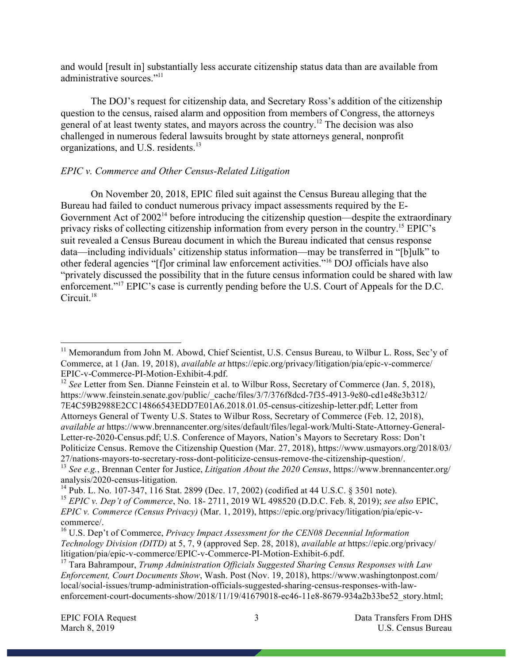and would [result in] substantially less accurate citizenship status data than are available from administrative sources."<sup>11</sup>

The DOJ's request for citizenship data, and Secretary Ross's addition of the citizenship question to the census, raised alarm and opposition from members of Congress, the attorneys general of at least twenty states, and mayors across the country.<sup>12</sup> The decision was also challenged in numerous federal lawsuits brought by state attorneys general, nonprofit organizations, and U.S. residents.<sup>13</sup>

# *EPIC v. Commerce and Other Census-Related Litigation*

On November 20, 2018, EPIC filed suit against the Census Bureau alleging that the Bureau had failed to conduct numerous privacy impact assessments required by the E-Government Act of  $2002<sup>14</sup>$  before introducing the citizenship question—despite the extraordinary privacy risks of collecting citizenship information from every person in the country.<sup>15</sup> EPIC's suit revealed a Census Bureau document in which the Bureau indicated that census response data—including individuals' citizenship status information—may be transferred in "[b]ulk" to other federal agencies "[f]or criminal law enforcement activities."16 DOJ officials have also "privately discussed the possibility that in the future census information could be shared with law enforcement."<sup>17</sup> EPIC's case is currently pending before the U.S. Court of Appeals for the D.C. Circuit<sup>18</sup>

<sup>&</sup>lt;sup>11</sup> Memorandum from John M. Abowd, Chief Scientist, U.S. Census Bureau, to Wilbur L. Ross, Sec'y of Commerce, at 1 (Jan. 19, 2018), *available at* https://epic.org/privacy/litigation/pia/epic-v-commerce/

<sup>&</sup>lt;sup>12</sup> See Letter from Sen. Dianne Feinstein et al. to Wilbur Ross, Secretary of Commerce (Jan. 5, 2018), https://www.feinstein.senate.gov/public/\_cache/files/3/7/376f8dcd-7f35-4913-9e80-cd1e48e3b312/ 7E4C59B2988E2CC14866543EDD7E01A6.2018.01.05-census-citizeship-letter.pdf; Letter from Attorneys General of Twenty U.S. States to Wilbur Ross, Secretary of Commerce (Feb. 12, 2018), *available at* https://www.brennancenter.org/sites/default/files/legal-work/Multi-State-Attorney-General-Letter-re-2020-Census.pdf; U.S. Conference of Mayors, Nation's Mayors to Secretary Ross: Don't Politicize Census. Remove the Citizenship Question (Mar. 27, 2018), https://www.usmayors.org/2018/03/

<sup>27/</sup>nations-mayors-to-secretary-ross-dont-politicize-census-remove-the-citizenship-question/. 13 *See e.g.*, Brennan Center for Justice, *Litigation About the 2020 Census*, https://www.brennancenter.org/

<sup>&</sup>lt;sup>14</sup> Pub. L. No. 107-347, 116 Stat. 2899 (Dec. 17, 2002) (codified at 44 U.S.C. § 3501 note). <sup>15</sup> *EPIC v. Dep't of Commerce*, No. 18- 2711, 2019 WL 498520 (D.D.C. Feb. 8, 2019); *see also* EPIC, *EPIC v. Commerce (Census Privacy)* (Mar. 1, 2019), https://epic.org/privacy/litigation/pia/epic-vcommerce/. 16 U.S. Dep't of Commerce, *Privacy Impact Assessment for the CEN08 Decennial Information* 

*Technology Division (DITD)* at 5, 7, 9 (approved Sep. 28, 2018), *available at* https://epic.org/privacy/

<sup>&</sup>lt;sup>17</sup> Tara Bahrampour, *Trump Administration Officials Suggested Sharing Census Responses with Law Enforcement, Court Documents Show*, Wash. Post (Nov. 19, 2018), https://www.washingtonpost.com/ local/social-issues/trump-administration-officials-suggested-sharing-census-responses-with-lawenforcement-court-documents-show/2018/11/19/41679018-ec46-11e8-8679-934a2b33be52\_story.html;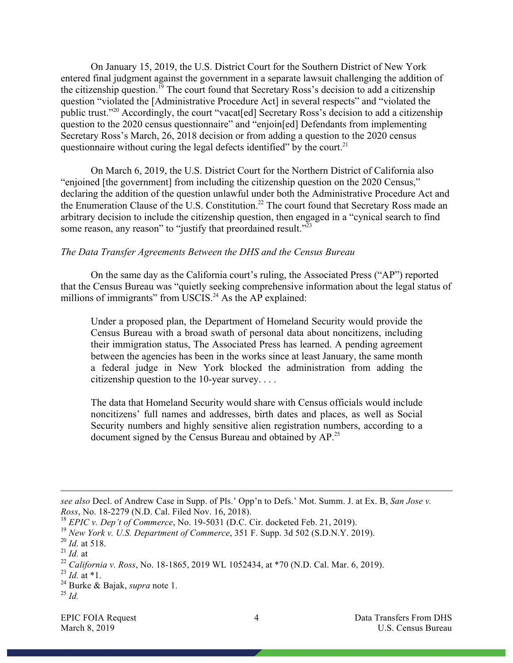On January 15, 2019, the U.S. District Court for the Southern District of New York entered final judgment against the government in a separate lawsuit challenging the addition of the citizenship question.<sup>19</sup> The court found that Secretary Ross's decision to add a citizenship question "violated the [Administrative Procedure Act] in several respects" and "violated the public trust."20 Accordingly, the court "vacat[ed] Secretary Ross's decision to add a citizenship question to the 2020 census questionnaire" and "enjoin[ed] Defendants from implementing Secretary Ross's March, 26, 2018 decision or from adding a question to the 2020 census questionnaire without curing the legal defects identified" by the court.<sup>21</sup>

On March 6, 2019, the U.S. District Court for the Northern District of California also "enjoined [the government] from including the citizenship question on the 2020 Census," declaring the addition of the question unlawful under both the Administrative Procedure Act and the Enumeration Clause of the U.S. Constitution.<sup>22</sup> The court found that Secretary Ross made an arbitrary decision to include the citizenship question, then engaged in a "cynical search to find some reason, any reason" to "justify that preordained result."<sup>23</sup>

### *The Data Transfer Agreements Between the DHS and the Census Bureau*

On the same day as the California court's ruling, the Associated Press ("AP") reported that the Census Bureau was "quietly seeking comprehensive information about the legal status of millions of immigrants" from USCIS.<sup>24</sup> As the AP explained:

Under a proposed plan, the Department of Homeland Security would provide the Census Bureau with a broad swath of personal data about noncitizens, including their immigration status, The Associated Press has learned. A pending agreement between the agencies has been in the works since at least January, the same month a federal judge in New York blocked the administration from adding the citizenship question to the 10-year survey. . . .

The data that Homeland Security would share with Census officials would include noncitizens' full names and addresses, birth dates and places, as well as Social Security numbers and highly sensitive alien registration numbers, according to a document signed by the Census Bureau and obtained by AP.<sup>25</sup>

 $\overline{a}$ 

<sup>24</sup> Burke & Bajak, *supra* note 1.

*see also* Decl. of Andrew Case in Supp. of Pls.' Opp'n to Defs.' Mot. Summ. J. at Ex. B, *San Jose v. Ross*, No. 18-2279 (N.D. Cal. Filed Nov. 16, 2018).

<sup>18</sup> *EPIC v. Dep't of Commerce*, No. 19-5031 (D.C. Cir. docketed Feb. 21, 2019).

<sup>19</sup> *New York v. U.S. Department of Commerce*, 351 F. Supp. 3d 502 (S.D.N.Y. 2019).

<sup>20</sup> *Id.* at 518.

 $^{21}$  *Id.* at

<sup>22</sup> *California v. Ross*, No. 18-1865, 2019 WL 1052434, at \*70 (N.D. Cal. Mar. 6, 2019).

 $^{23}$  *Id.* at \*1.

 $^{25}$  *Id.*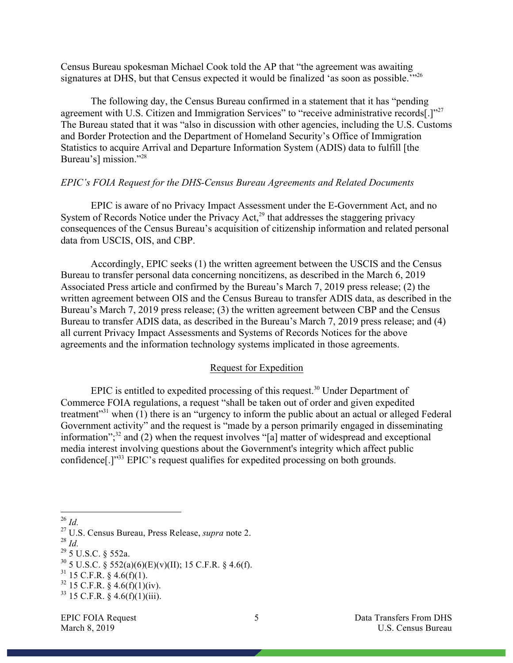Census Bureau spokesman Michael Cook told the AP that "the agreement was awaiting signatures at DHS, but that Census expected it would be finalized 'as soon as possible."<sup>26</sup>

The following day, the Census Bureau confirmed in a statement that it has "pending agreement with U.S. Citizen and Immigration Services" to "receive administrative records<sup>[1]</sup><sup>27</sup> The Bureau stated that it was "also in discussion with other agencies, including the U.S. Customs and Border Protection and the Department of Homeland Security's Office of Immigration Statistics to acquire Arrival and Departure Information System (ADIS) data to fulfill [the Bureau's] mission."<sup>28</sup>

#### *EPIC's FOIA Request for the DHS-Census Bureau Agreements and Related Documents*

EPIC is aware of no Privacy Impact Assessment under the E-Government Act, and no System of Records Notice under the Privacy Act, $^{29}$  that addresses the staggering privacy consequences of the Census Bureau's acquisition of citizenship information and related personal data from USCIS, OIS, and CBP.

Accordingly, EPIC seeks (1) the written agreement between the USCIS and the Census Bureau to transfer personal data concerning noncitizens, as described in the March 6, 2019 Associated Press article and confirmed by the Bureau's March 7, 2019 press release; (2) the written agreement between OIS and the Census Bureau to transfer ADIS data, as described in the Bureau's March 7, 2019 press release; (3) the written agreement between CBP and the Census Bureau to transfer ADIS data, as described in the Bureau's March 7, 2019 press release; and (4) all current Privacy Impact Assessments and Systems of Records Notices for the above agreements and the information technology systems implicated in those agreements.

#### Request for Expedition

EPIC is entitled to expedited processing of this request.<sup>30</sup> Under Department of Commerce FOIA regulations, a request "shall be taken out of order and given expedited treatment"31 when (1) there is an "urgency to inform the public about an actual or alleged Federal Government activity" and the request is "made by a person primarily engaged in disseminating information"<sup>32</sup>, and (2) when the request involves "[a] matter of widespread and exceptional media interest involving questions about the Government's integrity which affect public confidence[.]"33 EPIC's request qualifies for expedited processing on both grounds.

- <sup>28</sup> *Id.*
- $^{29}$  5 U.S.C. § 552a.

 $31$  15 C.F.R. § 4.6(f)(1).

 $^{26}$  *Id.* 

<sup>27</sup> U.S. Census Bureau, Press Release, *supra* note 2.

 $30\,5$  U.S.C.  $\frac{8}{5}$  552(a)(6)(E)(v)(II); 15 C.F.R. § 4.6(f).

 $32$  15 C.F.R. § 4.6(f)(1)(iv).

 $33$  15 C.F.R. § 4.6(f)(1)(iii).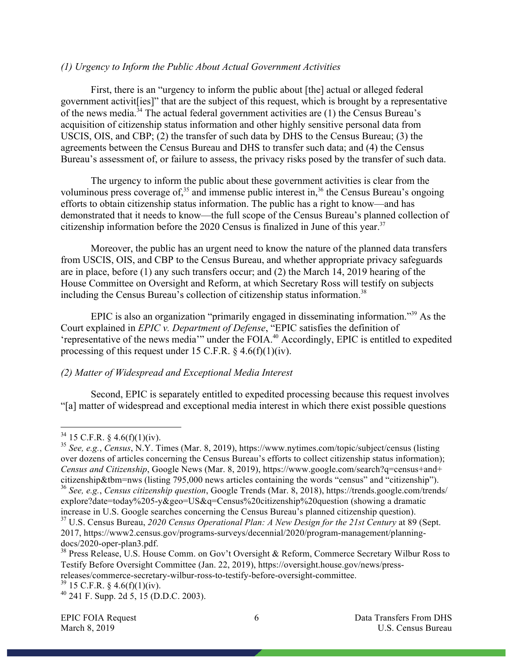## *(1) Urgency to Inform the Public About Actual Government Activities*

First, there is an "urgency to inform the public about [the] actual or alleged federal government activit[ies]" that are the subject of this request, which is brought by a representative of the news media.<sup>34</sup> The actual federal government activities are  $(1)$  the Census Bureau's acquisition of citizenship status information and other highly sensitive personal data from USCIS, OIS, and CBP; (2) the transfer of such data by DHS to the Census Bureau; (3) the agreements between the Census Bureau and DHS to transfer such data; and (4) the Census Bureau's assessment of, or failure to assess, the privacy risks posed by the transfer of such data.

The urgency to inform the public about these government activities is clear from the voluminous press coverage of, $35$  and immense public interest in,  $36$  the Census Bureau's ongoing efforts to obtain citizenship status information. The public has a right to know—and has demonstrated that it needs to know—the full scope of the Census Bureau's planned collection of citizenship information before the 2020 Census is finalized in June of this year. 37

Moreover, the public has an urgent need to know the nature of the planned data transfers from USCIS, OIS, and CBP to the Census Bureau, and whether appropriate privacy safeguards are in place, before (1) any such transfers occur; and (2) the March 14, 2019 hearing of the House Committee on Oversight and Reform, at which Secretary Ross will testify on subjects including the Census Bureau's collection of citizenship status information. 38

EPIC is also an organization "primarily engaged in disseminating information."39 As the Court explained in *EPIC v. Department of Defense*, "EPIC satisfies the definition of 'representative of the news media'" under the FOIA.<sup>40</sup> Accordingly, EPIC is entitled to expedited processing of this request under 15 C.F.R.  $\& 4.6(f)(1)(iv)$ .

# *(2) Matter of Widespread and Exceptional Media Interest*

Second, EPIC is separately entitled to expedited processing because this request involves "[a] matter of widespread and exceptional media interest in which there exist possible questions

 $34$  15 C.F.R. § 4.6(f)(1)(iv).

<sup>35</sup> *See, e.g.*, *Census*, N.Y. Times (Mar. 8, 2019), https://www.nytimes.com/topic/subject/census (listing over dozens of articles concerning the Census Bureau's efforts to collect citizenship status information); *Census and Citizenship*, Google News (Mar. 8, 2019), https://www.google.com/search?q=census+and+ citizenship&tbm=nws (listing 795,000 news articles containing the words "census" and "citizenship").

<sup>36</sup> *See, e.g.*, *Census citizenship question*, Google Trends (Mar. 8, 2018), https://trends.google.com/trends/ explore?date=today%205-y&geo=US&q=Census%20citizenship%20question (showing a dramatic increase in U.S. Google searches concerning the Census Bureau's planned citizenship question). <sup>37</sup> U.S. Census Bureau, *2020 Census Operational Plan: A New Design for the 21st Century* at 89 (Sept. 2017, https://www2.census.gov/programs-surveys/decennial/2020/program-management/planning-docs/2020-oper-plan3.pdf.

 $38$  Press Release, U.S. House Comm. on Gov't Oversight & Reform, Commerce Secretary Wilbur Ross to Testify Before Oversight Committee (Jan. 22, 2019), https://oversight.house.gov/news/pressreleases/commerce-secretary-wilbur-ross-to-testify-before-oversight-committee.<br><sup>39</sup> 15 C.F.R. § 4.6(f)(1)(iv).

 $^{40}$  241 F. Supp. 2d 5, 15 (D.D.C. 2003).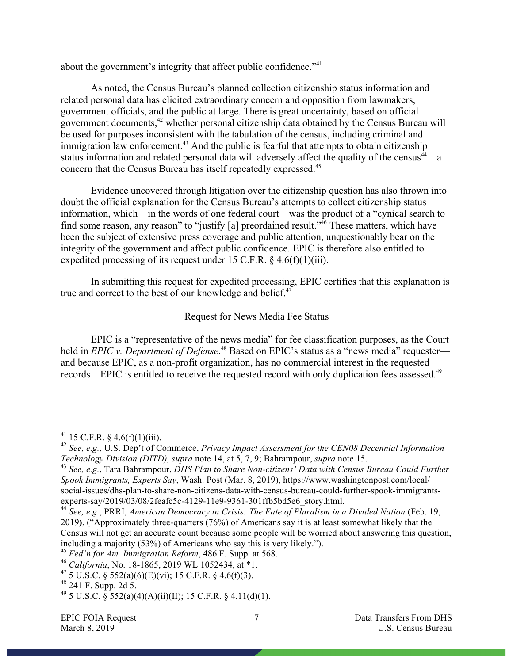about the government's integrity that affect public confidence."<sup>41</sup>

As noted, the Census Bureau's planned collection citizenship status information and related personal data has elicited extraordinary concern and opposition from lawmakers, government officials, and the public at large. There is great uncertainty, based on official government documents,<sup>42</sup> whether personal citizenship data obtained by the Census Bureau will be used for purposes inconsistent with the tabulation of the census, including criminal and immigration law enforcement.<sup>43</sup> And the public is fearful that attempts to obtain citizenship status information and related personal data will adversely affect the quality of the census $44$ —a concern that the Census Bureau has itself repeatedly expressed.<sup>45</sup>

Evidence uncovered through litigation over the citizenship question has also thrown into doubt the official explanation for the Census Bureau's attempts to collect citizenship status information, which—in the words of one federal court—was the product of a "cynical search to find some reason, any reason" to "justify [a] preordained result."<sup>46</sup> These matters, which have been the subject of extensive press coverage and public attention, unquestionably bear on the integrity of the government and affect public confidence. EPIC is therefore also entitled to expedited processing of its request under 15 C.F.R.  $\frac{6}{7}$  4.6(f)(1)(iii).

In submitting this request for expedited processing, EPIC certifies that this explanation is true and correct to the best of our knowledge and belief.<sup>47</sup>

# Request for News Media Fee Status

EPIC is a "representative of the news media" for fee classification purposes, as the Court held in *EPIC v. Department of Defense*.<sup>48</sup> Based on EPIC's status as a "news media" requester and because EPIC, as a non-profit organization, has no commercial interest in the requested records—EPIC is entitled to receive the requested record with only duplication fees assessed.<sup>49</sup>

 $^{41}$  15 C.F.R. § 4.6(f)(1)(iii).

<sup>42</sup> *See, e.g.*, U.S. Dep't of Commerce, *Privacy Impact Assessment for the CEN08 Decennial Information Technology Division (DITD), supra* note 14, at 5, 7, 9; Bahrampour, *supra* note 15.

<sup>43</sup> *See, e.g.*, Tara Bahrampour, *DHS Plan to Share Non-citizens' Data with Census Bureau Could Further Spook Immigrants, Experts Say*, Wash. Post (Mar. 8, 2019), https://www.washingtonpost.com/local/ social-issues/dhs-plan-to-share-non-citizens-data-with-census-bureau-could-further-spook-immigrants-<br>experts-say/2019/03/08/2feafc5c-4129-11e9-9361-301ffb5bd5e6 story.html.

<sup>&</sup>lt;sup>44</sup> See, e.g., PRRI, *American Democracy in Crisis: The Fate of Pluralism in a Divided Nation* (Feb. 19, 2019), ("Approximately three-quarters (76%) of Americans say it is at least somewhat likely that the Census will not get an accurate count because some people will be worried about answering this question, including a majority (53%) of Americans who say this is very likely.").

<sup>45</sup> *Fed'n for Am. Immigration Reform*, 486 F. Supp. at 568.

<sup>46</sup> *California*, No. 18-1865, 2019 WL 1052434, at \*1.

<sup>&</sup>lt;sup>47</sup> 5 U.S.C. § 552(a)(6)(E)(vi); 15 C.F.R. § 4.6(f)(3).

 $48$  241 F. Supp. 2d 5.

<sup>&</sup>lt;sup>49</sup> 5 U.S.C.  $\hat{\S}$  552(a)(4)(A)(ii)(II); 15 C.F.R.  $\hat{\S}$  4.11(d)(1).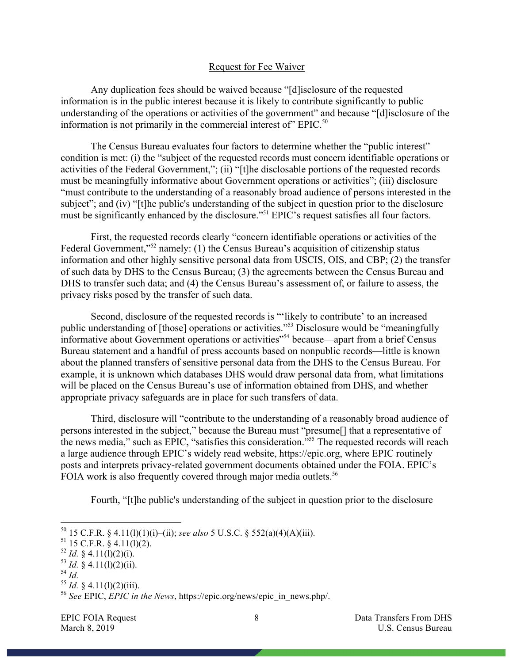## Request for Fee Waiver

Any duplication fees should be waived because "[d]isclosure of the requested information is in the public interest because it is likely to contribute significantly to public understanding of the operations or activities of the government" and because "[d]isclosure of the information is not primarily in the commercial interest of" EPIC.<sup>50</sup>

The Census Bureau evaluates four factors to determine whether the "public interest" condition is met: (i) the "subject of the requested records must concern identifiable operations or activities of the Federal Government,"; (ii) "[t]he disclosable portions of the requested records must be meaningfully informative about Government operations or activities"; (iii) disclosure "must contribute to the understanding of a reasonably broad audience of persons interested in the subject"; and (iv) "[t]he public's understanding of the subject in question prior to the disclosure must be significantly enhanced by the disclosure."51 EPIC's request satisfies all four factors.

First, the requested records clearly "concern identifiable operations or activities of the Federal Government,"<sup>52</sup> namely: (1) the Census Bureau's acquisition of citizenship status information and other highly sensitive personal data from USCIS, OIS, and CBP; (2) the transfer of such data by DHS to the Census Bureau; (3) the agreements between the Census Bureau and DHS to transfer such data; and (4) the Census Bureau's assessment of, or failure to assess, the privacy risks posed by the transfer of such data.

Second, disclosure of the requested records is "'likely to contribute' to an increased public understanding of [those] operations or activities."53 Disclosure would be "meaningfully informative about Government operations or activities"54 because—apart from a brief Census Bureau statement and a handful of press accounts based on nonpublic records—little is known about the planned transfers of sensitive personal data from the DHS to the Census Bureau. For example, it is unknown which databases DHS would draw personal data from, what limitations will be placed on the Census Bureau's use of information obtained from DHS, and whether appropriate privacy safeguards are in place for such transfers of data.

Third, disclosure will "contribute to the understanding of a reasonably broad audience of persons interested in the subject," because the Bureau must "presume[] that a representative of the news media," such as EPIC, "satisfies this consideration."55 The requested records will reach a large audience through EPIC's widely read website, https://epic.org, where EPIC routinely posts and interprets privacy-related government documents obtained under the FOIA. EPIC's FOIA work is also frequently covered through major media outlets.<sup>56</sup>

Fourth, "[t]he public's understanding of the subject in question prior to the disclosure

<sup>54</sup> *Id.*

EPIC FOIA Request 8 8 Data Transfers From DHS March 8, 2019 U.S. Census Bureau U.S. Census Bureau

 <sup>50</sup> <sup>15</sup> C.F.R. § 4.11(l)(1)(i)–(ii); *see also* 5 U.S.C. § 552(a)(4)(A)(iii).

 $51$  15 C.F.R. § 4.11(1)(2).

 $52$  *Id.* § 4.11(l)(2)(i).

 $^{53}$  *Id.* § 4.11(l)(2)(ii).

 $55$  *Id.* § 4.11(1)(2)(iii).

<sup>56</sup> *See* EPIC, *EPIC in the News*, https://epic.org/news/epic\_in\_news.php/.